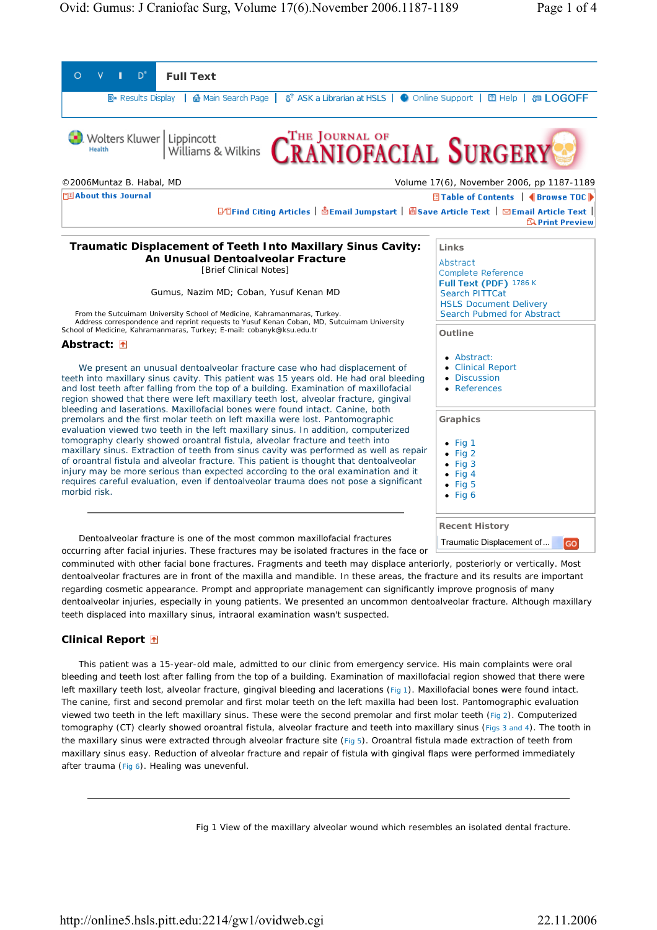

comminuted with other facial bone fractures. Fragments and teeth may displace anteriorly, posteriorly or vertically. Most dentoalveolar fractures are in front of the maxilla and mandible. In these areas, the fracture and its results are important regarding cosmetic appearance. Prompt and appropriate management can significantly improve prognosis of many dentoalveolar injuries, especially in young patients. We presented an uncommon dentoalveolar fracture. Although maxillary teeth displaced into maxillary sinus, intraoral examination wasn't suspected.

## **Clinical Report**

This patient was a 15-year-old male, admitted to our clinic from emergency service. His main complaints were oral bleeding and teeth lost after falling from the top of a building. Examination of maxillofacial region showed that there were left maxillary teeth lost, alveolar fracture, gingival bleeding and lacerations (Fig 1). Maxillofacial bones were found intact. The canine, first and second premolar and first molar teeth on the left maxilla had been lost. Pantomographic evaluation viewed two teeth in the left maxillary sinus. These were the second premolar and first molar teeth (Fig 2). Computerized tomography (CT) clearly showed oroantral fistula, alveolar fracture and teeth into maxillary sinus (Figs 3 and 4). The tooth in the maxillary sinus were extracted through alveolar fracture site (Fig 5). Oroantral fistula made extraction of teeth from maxillary sinus easy. Reduction of alveolar fracture and repair of fistula with gingival flaps were performed immediately after trauma (Fig 6). Healing was unevenful.

Fig 1 View of the maxillary alveolar wound which resembles an isolated dental fracture.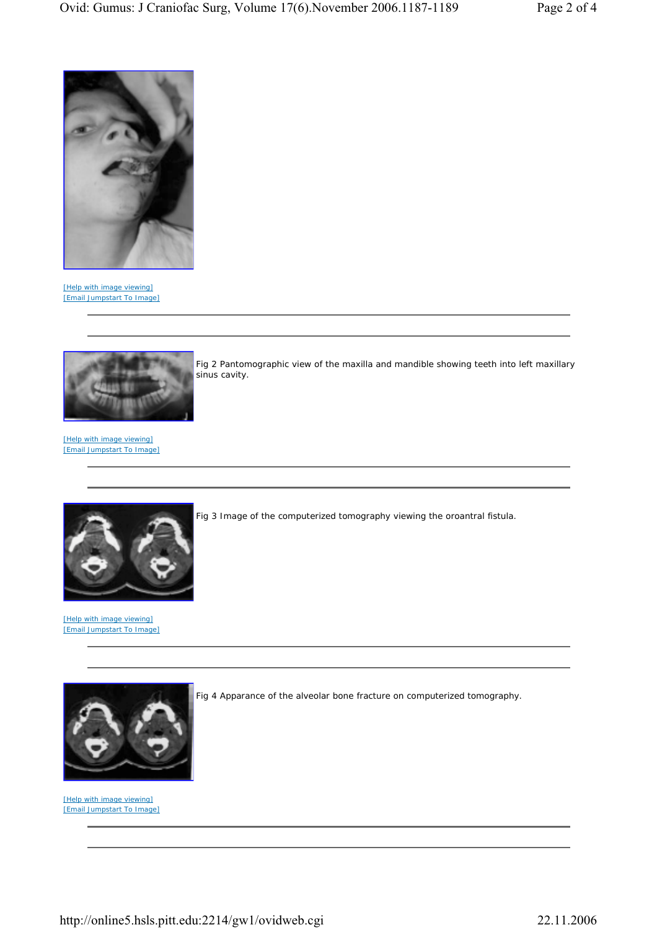

[Help with image viewing] [Email Jumpstart To Image]



Fig 2 Pantomographic view of the maxilla and mandible showing teeth into left maxillary sinus cavity.

[Help with image viewing] [Email Jumpstart To Image]



[Help with image viewing] [Email Jumpstart To Image]



[Help with image viewing] [Email Jumpstart To Image] Fig 3 Image of the computerized tomography viewing the oroantral fistula.

Fig 4 Apparance of the alveolar bone fracture on computerized tomography.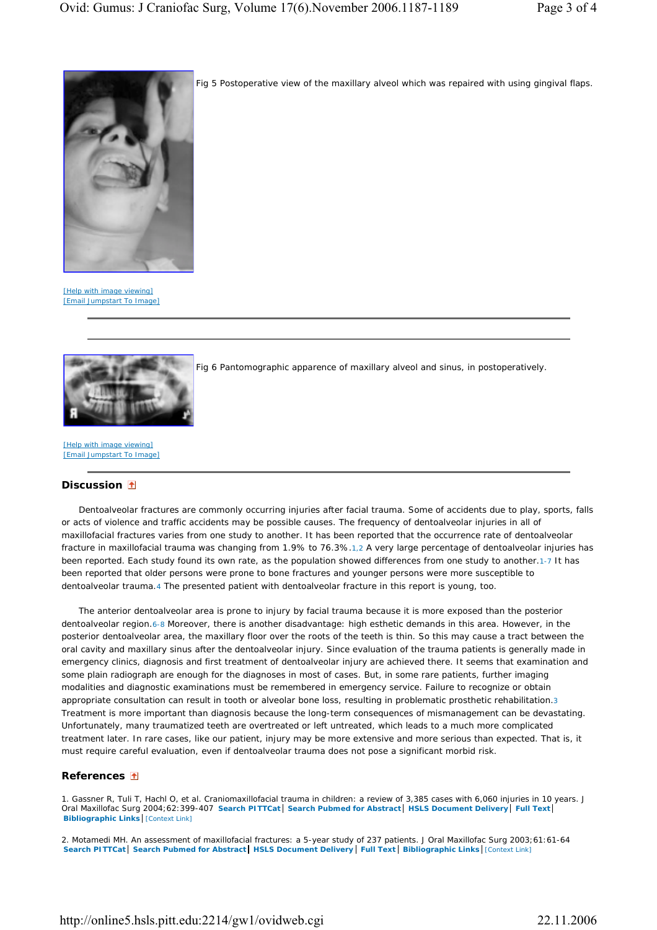

Fig 5 Postoperative view of the maxillary alveol which was repaired with using gingival flaps.

[Help with image viewing] [Email Jumpstart To Image]



Fig 6 Pantomographic apparence of maxillary alveol and sinus, in postoperatively.

[Help with image viewing] [Email Jumpstart To Image]

## **Discussion**

Dentoalveolar fractures are commonly occurring injuries after facial trauma. Some of accidents due to play, sports, falls or acts of violence and traffic accidents may be possible causes. The frequency of dentoalveolar injuries in all of maxillofacial fractures varies from one study to another. It has been reported that the occurrence rate of dentoalveolar fracture in maxillofacial trauma was changing from 1.9% to 76.3%.1,2 A very large percentage of dentoalveolar injuries has been reported. Each study found its own rate, as the population showed differences from one study to another.1-7 It has been reported that older persons were prone to bone fractures and younger persons were more susceptible to dentoalveolar trauma.4 The presented patient with dentoalveolar fracture in this report is young, too.

The anterior dentoalveolar area is prone to injury by facial trauma because it is more exposed than the posterior dentoalveolar region.6-8 Moreover, there is another disadvantage: high esthetic demands in this area. However, in the posterior dentoalveolar area, the maxillary floor over the roots of the teeth is thin. So this may cause a tract between the oral cavity and maxillary sinus after the dentoalveolar injury. Since evaluation of the trauma patients is generally made in emergency clinics, diagnosis and first treatment of dentoalveolar injury are achieved there. It seems that examination and some plain radiograph are enough for the diagnoses in most of cases. But, in some rare patients, further imaging modalities and diagnostic examinations must be remembered in emergency service. Failure to recognize or obtain appropriate consultation can result in tooth or alveolar bone loss, resulting in problematic prosthetic rehabilitation.3 Treatment is more important than diagnosis because the long-term consequences of mismanagement can be devastating. Unfortunately, many traumatized teeth are overtreated or left untreated, which leads to a much more complicated treatment later. In rare cases, like our patient, injury may be more extensive and more serious than expected. That is, it must require careful evaluation, even if dentoalveolar trauma does not pose a significant morbid risk.

## **References**

1. Gassner R, Tuli T, Hachl O, et al. Craniomaxillofacial trauma in children: a review of 3,385 cases with 6,060 injuries in 10 years. J Oral Maxillofac Surg 2004;62:399-407 **Search PITTCat Search Pubmed for Abstract HSLS Document Delivery Full Text Bibliographic Links** [Context Link]

2. Motamedi MH. An assessment of maxillofacial fractures: a 5-year study of 237 patients. J Oral Maxillofac Surg 2003;61:61-64 **Search PITTCat Search Pubmed for Abstract HSLS Document Delivery Full Text Bibliographic Links** [Context Link]